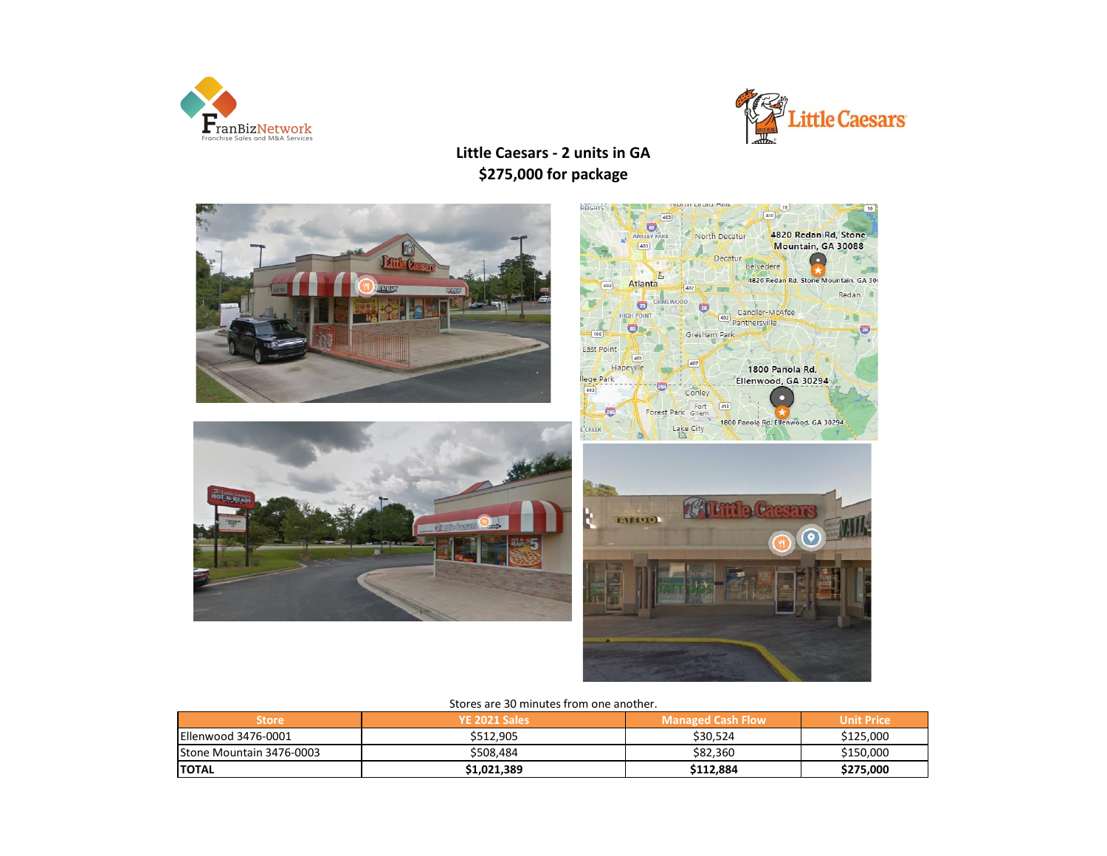



**Little Caesars - 2 units in GA \$275,000 for package**



#### Stores are 30 minutes from one another.

| <b>Store</b>                     | YE 2021 Sales | <b>Managed Cash Flow</b> | <b>Unit Price</b> |
|----------------------------------|---------------|--------------------------|-------------------|
| Ellenwood 3476-0001              | \$512,905     | \$30.524                 | \$125,000         |
| <b>IStone Mountain 3476-0003</b> | \$508.484     | \$82,360                 | \$150,000         |
| <b>ITOTAL</b>                    | \$1,021,389   | \$112,884                | \$275,000         |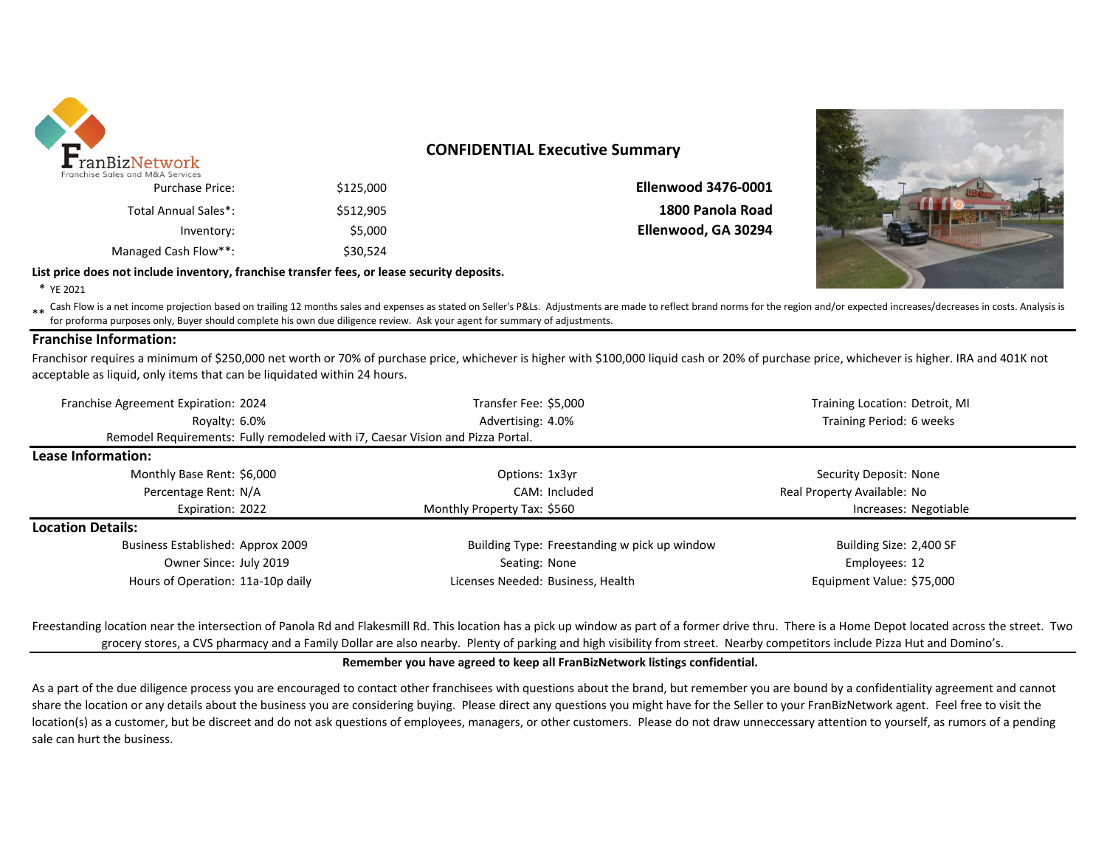

### **CONFIDENTIAL Executive Summary**

|                            |           | ISC JUICS UITU IVIUAT JEIVILES |
|----------------------------|-----------|--------------------------------|
| <b>Ellenwood 3476-0001</b> | \$125,000 | <b>Purchase Price:</b>         |
| 1800 Panola Road           | \$512,905 | Total Annual Sales*:           |
| Ellenwood, GA 30294        | \$5.000   | Inventory:                     |
|                            | \$30.524  | Managed Cash Flow**:           |
|                            |           |                                |



\* YE 2021

Eash Flow is a net income projection based on trailing 12 months sales and expenses as stated on Seller's P&Ls. Adjustments are made to reflect brand norms for the region and/or expected increases/decreases in costs. Analy for proforma purposes only, Buyer should complete his own due diligence review. Ask your agent for summary of adjustments.

### **Franchise Information:**

Franchisor requires a minimum of \$250,000 net worth or 70% of purchase price, whichever is higher with \$100,000 liquid cash or 20% of purchase price, whichever is higher. IRA and 401K not acceptable as liquid, only items that can be liquidated within 24 hours.

| Franchise Agreement Expiration: 2024                                           | Transfer Fee: \$5,000<br>Training Location: Detroit, MI |                             |  |
|--------------------------------------------------------------------------------|---------------------------------------------------------|-----------------------------|--|
| Royalty: 6.0%                                                                  | Advertising: 4.0%                                       | Training Period: 6 weeks    |  |
| Remodel Requirements: Fully remodeled with 17, Caesar Vision and Pizza Portal. |                                                         |                             |  |
| Lease Information:                                                             |                                                         |                             |  |
| Monthly Base Rent: \$6,000                                                     | Options: 1x3yr                                          | Security Deposit: None      |  |
| Percentage Rent: N/A                                                           | CAM: Included                                           | Real Property Available: No |  |
| Expiration: 2022                                                               | Monthly Property Tax: \$560                             | Increases: Negotiable       |  |
| <b>Location Details:</b>                                                       |                                                         |                             |  |
| Business Established: Approx 2009                                              | Building Type: Freestanding w pick up window            | Building Size: 2,400 SF     |  |
| Owner Since: July 2019                                                         | Seating: None                                           | Employees: 12               |  |
| Hours of Operation: 11a-10p daily                                              | Licenses Needed: Business, Health                       | Equipment Value: \$75,000   |  |

Freestanding location near the intersection of Panola Rd and Flakesmill Rd. This location has a pick up window as part of a former drive thru. There is a Home Depot located across the street. Two grocery stores, a CVS pharmacy and a Family Dollar are also nearby. Plenty of parking and high visibility from street. Nearby competitors include Pizza Hut and Domino's.

### **Remember you have agreed to keep all FranBizNetwork listings confidential.**

As a part of the due diligence process you are encouraged to contact other franchisees with questions about the brand, but remember you are bound by a confidentiality agreement and cannot share the location or any details about the business you are considering buying. Please direct any questions you might have for the Seller to your FranBizNetwork agent. Feel free to visit the location(s) as a customer, but be discreet and do not ask questions of employees, managers, or other customers. Please do not draw unneccessary attention to yourself, as rumors of a pending sale can hurt the business.

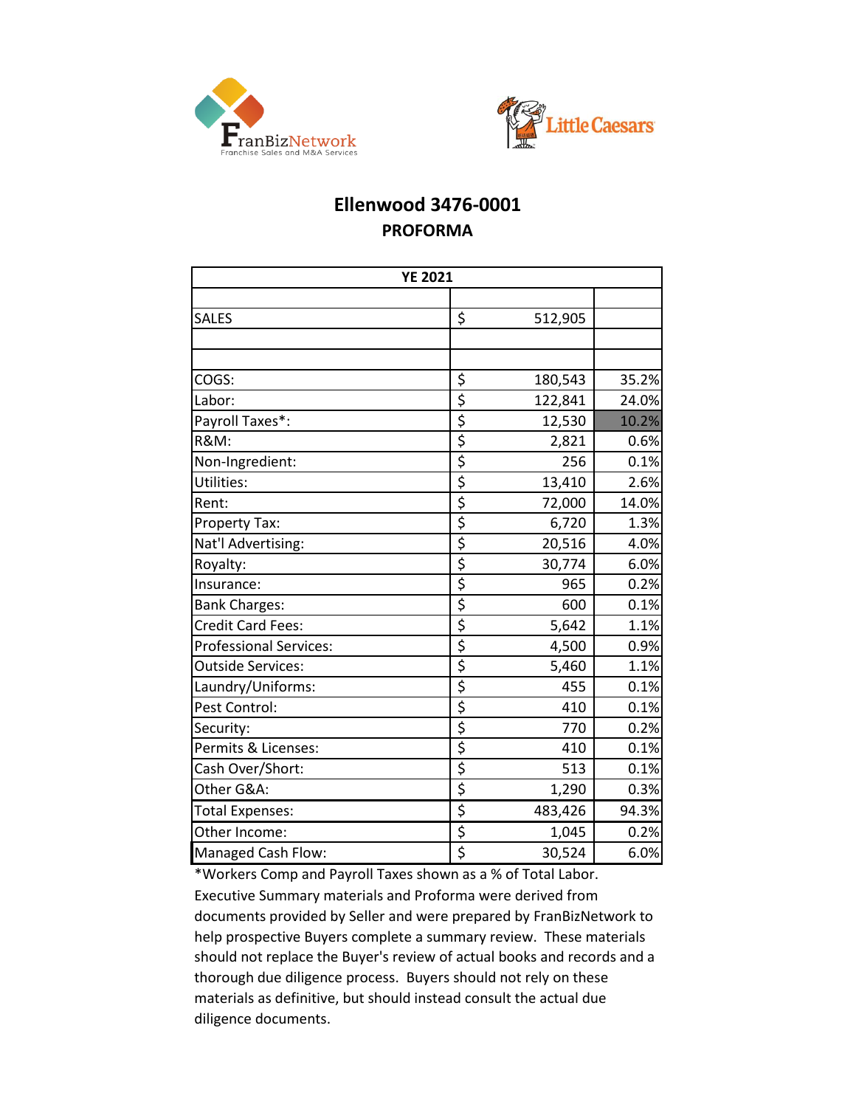



## **Ellenwood 3476-0001 PROFORMA**

| <b>YE 2021</b>                |                                     |         |       |
|-------------------------------|-------------------------------------|---------|-------|
|                               |                                     |         |       |
| <b>SALES</b>                  | \$                                  | 512,905 |       |
|                               |                                     |         |       |
|                               |                                     |         |       |
| COGS:                         | \$                                  | 180,543 | 35.2% |
| Labor:                        | \$                                  | 122,841 | 24.0% |
| Payroll Taxes*:               | \$                                  | 12,530  | 10.2% |
| <b>R&amp;M:</b>               | \$                                  | 2,821   | 0.6%  |
| Non-Ingredient:               | \$                                  | 256     | 0.1%  |
| Utilities:                    | \$                                  | 13,410  | 2.6%  |
| Rent:                         | \$                                  | 72,000  | 14.0% |
| Property Tax:                 | \$                                  | 6,720   | 1.3%  |
| Nat'l Advertising:            | \$                                  | 20,516  | 4.0%  |
| Royalty:                      | \$                                  | 30,774  | 6.0%  |
| Insurance:                    | \$                                  | 965     | 0.2%  |
| <b>Bank Charges:</b>          | \$                                  | 600     | 0.1%  |
| Credit Card Fees:             | \$                                  | 5,642   | 1.1%  |
| <b>Professional Services:</b> | \$                                  | 4,500   | 0.9%  |
| <b>Outside Services:</b>      | \$                                  | 5,460   | 1.1%  |
| Laundry/Uniforms:             | \$                                  | 455     | 0.1%  |
| Pest Control:                 | \$                                  | 410     | 0.1%  |
| Security:                     | \$                                  | 770     | 0.2%  |
| Permits & Licenses:           | $\overline{\boldsymbol{\zeta}}$     | 410     | 0.1%  |
| Cash Over/Short:              | $\overline{\xi}$                    | 513     | 0.1%  |
| Other G&A:                    | \$                                  | 1,290   | 0.3%  |
| <b>Total Expenses:</b>        | \$                                  | 483,426 | 94.3% |
| Other Income:                 | \$                                  | 1,045   | 0.2%  |
| Managed Cash Flow:            | $\overline{\boldsymbol{\varsigma}}$ | 30,524  | 6.0%  |

\*Workers Comp and Payroll Taxes shown as a % of Total Labor. Executive Summary materials and Proforma were derived from documents provided by Seller and were prepared by FranBizNetwork to help prospective Buyers complete a summary review. These materials should not replace the Buyer's review of actual books and records and a thorough due diligence process. Buyers should not rely on these materials as definitive, but should instead consult the actual due diligence documents.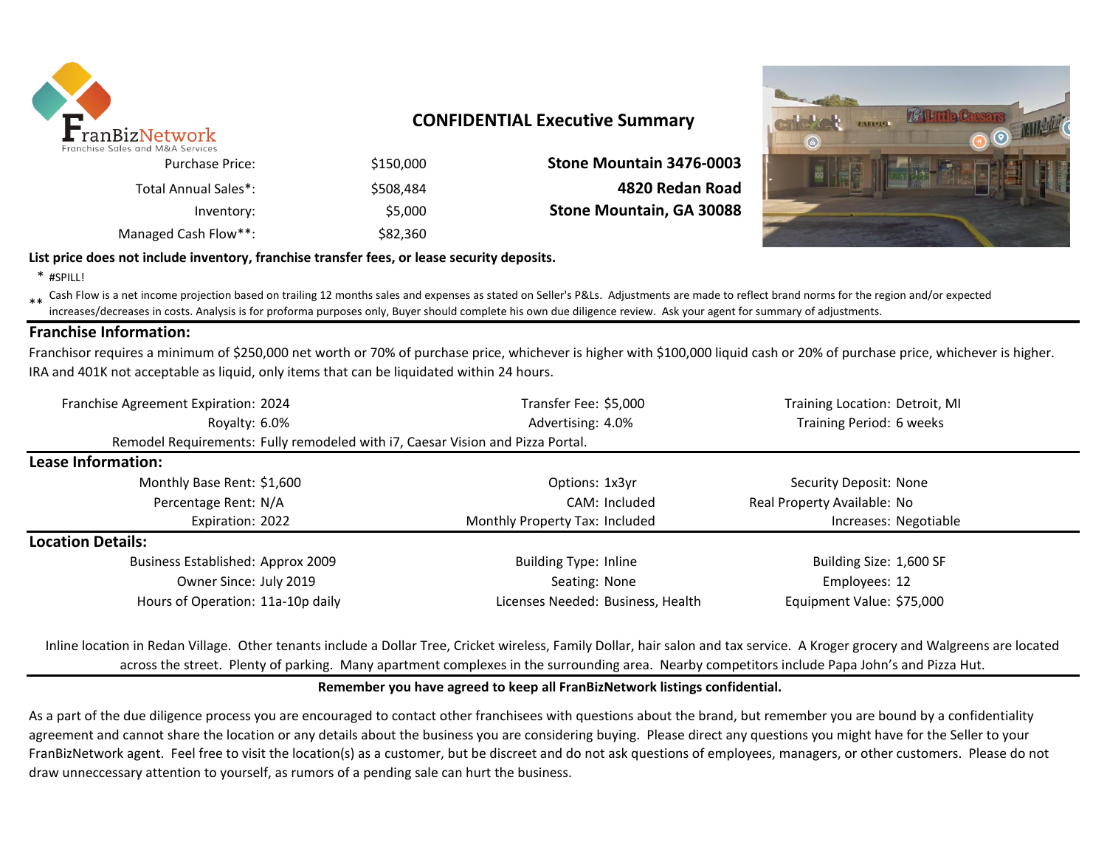

## **CONFIDENTIAL Executive Summary**

| Stone Mountain 3476-0003 | \$150,000 | <b>Purchase Price:</b> |
|--------------------------|-----------|------------------------|
| 4820 Redan Road          | \$508.484 | Total Annual Sales*:   |
| Stone Mountain, GA 30088 | \$5,000   | Inventory:             |
|                          | \$82,360  | Managed Cash Flow**:   |



### **List price does not include inventory, franchise transfer fees, or lease security deposits.**

\* #SPILL!

\*\* Cash Flow is a net income projection based on trailing 12 months sales and expenses as stated on Seller's P&Ls. Adjustments are made to reflect brand norms for the region and/or expected in costs. Analysis is for profor increases/decreases in costs. Analysis is for proforma purposes only, Buyer should complete his own due diligence review. Ask your agent for summary of adjustments.

### **Franchise Information:**

Franchisor requires a minimum of \$250,000 net worth or 70% of purchase price, whichever is higher with \$100,000 liquid cash or 20% of purchase price, whichever is higher. IRA and 401K not acceptable as liquid, only items that can be liquidated within 24 hours.

| Franchise Agreement Expiration: 2024 |                                                                                | Transfer Fee: \$5,000             | Training Location: Detroit, MI |
|--------------------------------------|--------------------------------------------------------------------------------|-----------------------------------|--------------------------------|
| Royalty: 6.0%                        |                                                                                | Advertising: 4.0%                 | Training Period: 6 weeks       |
|                                      | Remodel Requirements: Fully remodeled with i7, Caesar Vision and Pizza Portal. |                                   |                                |
| Lease Information:                   |                                                                                |                                   |                                |
| Monthly Base Rent: \$1,600           |                                                                                | Options: 1x3yr                    | Security Deposit: None         |
| Percentage Rent: N/A                 |                                                                                | CAM: Included                     | Real Property Available: No    |
| Expiration: 2022                     |                                                                                | Monthly Property Tax: Included    | Increases: Negotiable          |
| <b>Location Details:</b>             |                                                                                |                                   |                                |
| Business Established: Approx 2009    |                                                                                | <b>Building Type: Inline</b>      | Building Size: 1,600 SF        |
| Owner Since: July 2019               |                                                                                | Seating: None                     | Employees: 12                  |
| Hours of Operation: 11a-10p daily    |                                                                                | Licenses Needed: Business, Health | Equipment Value: \$75,000      |

Inline location in Redan Village. Other tenants include a Dollar Tree, Cricket wireless, Family Dollar, hair salon and tax service. A Kroger grocery and Walgreens are located across the street. Plenty of parking. Many apartment complexes in the surrounding area. Nearby competitors include Papa John's and Pizza Hut.

### **Remember you have agreed to keep all FranBizNetwork listings confidential.**

As a part of the due diligence process you are encouraged to contact other franchisees with questions about the brand, but remember you are bound by a confidentiality agreement and cannot share the location or any details about the business you are considering buying. Please direct any questions you might have for the Seller to your FranBizNetwork agent. Feel free to visit the location(s) as a customer, but be discreet and do not ask questions of employees, managers, or other customers. Please do not draw unneccessary attention to yourself, as rumors of a pending sale can hurt the business.